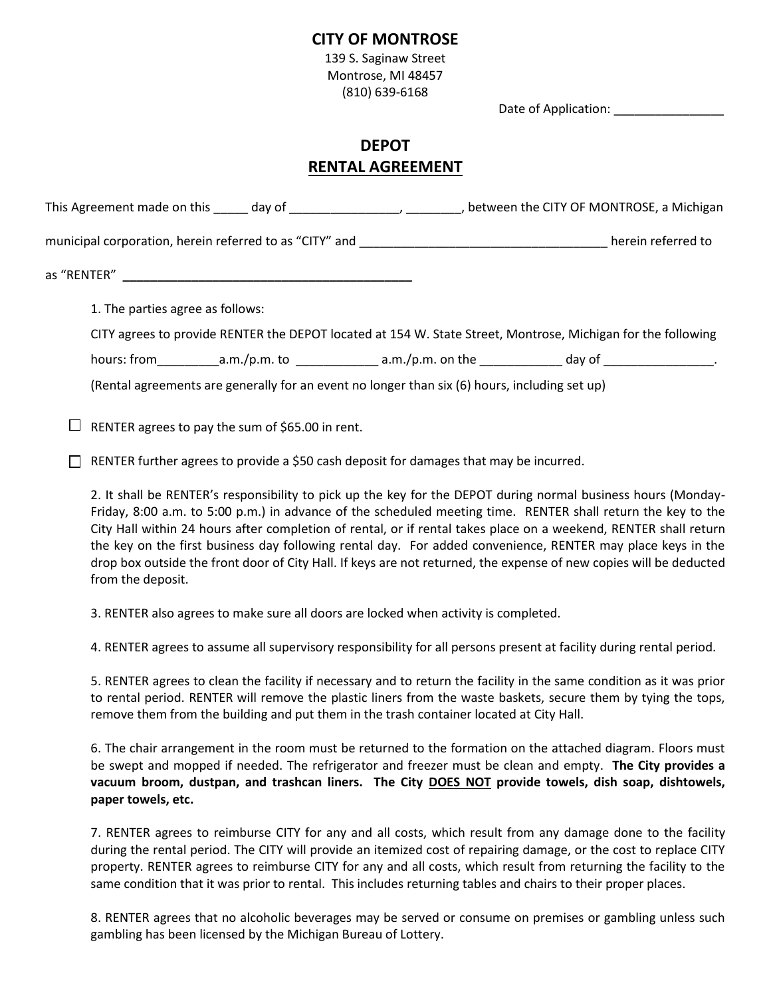## **CITY OF MONTROSE**

139 S. Saginaw Street Montrose, MI 48457 (810) 639-6168

Date of Application:

## **DEPOT RENTAL AGREEMENT**

|                                                                                               | This Agreement made on this day of day of discussed and the CITY OF MONTROSE, a Michigan                                                                                                                                       |
|-----------------------------------------------------------------------------------------------|--------------------------------------------------------------------------------------------------------------------------------------------------------------------------------------------------------------------------------|
|                                                                                               | herein referred to                                                                                                                                                                                                             |
|                                                                                               |                                                                                                                                                                                                                                |
| 1. The parties agree as follows:                                                              |                                                                                                                                                                                                                                |
|                                                                                               | CITY agrees to provide RENTER the DEPOT located at 154 W. State Street, Montrose, Michigan for the following                                                                                                                   |
|                                                                                               | hours: from a.m./p.m. to a.m./p.m. on the day of day of the day of the day of the day of the day of the day of the day of the day of the day of the day of the day of the day of the day of the day of the day of the day of t |
| (Rental agreements are generally for an event no longer than six (6) hours, including set up) |                                                                                                                                                                                                                                |

 $\Box$  RENTER agrees to pay the sum of \$65.00 in rent.

 $\Box$  RENTER further agrees to provide a \$50 cash deposit for damages that may be incurred.

2. It shall be RENTER's responsibility to pick up the key for the DEPOT during normal business hours (Monday-Friday, 8:00 a.m. to 5:00 p.m.) in advance of the scheduled meeting time. RENTER shall return the key to the City Hall within 24 hours after completion of rental, or if rental takes place on a weekend, RENTER shall return the key on the first business day following rental day. For added convenience, RENTER may place keys in the drop box outside the front door of City Hall. If keys are not returned, the expense of new copies will be deducted from the deposit.

3. RENTER also agrees to make sure all doors are locked when activity is completed.

4. RENTER agrees to assume all supervisory responsibility for all persons present at facility during rental period.

5. RENTER agrees to clean the facility if necessary and to return the facility in the same condition as it was prior to rental period. RENTER will remove the plastic liners from the waste baskets, secure them by tying the tops, remove them from the building and put them in the trash container located at City Hall.

6. The chair arrangement in the room must be returned to the formation on the attached diagram. Floors must be swept and mopped if needed. The refrigerator and freezer must be clean and empty. **The City provides a vacuum broom, dustpan, and trashcan liners. The City DOES NOT provide towels, dish soap, dishtowels, paper towels, etc.**

7. RENTER agrees to reimburse CITY for any and all costs, which result from any damage done to the facility during the rental period. The CITY will provide an itemized cost of repairing damage, or the cost to replace CITY property. RENTER agrees to reimburse CITY for any and all costs, which result from returning the facility to the same condition that it was prior to rental. This includes returning tables and chairs to their proper places.

8. RENTER agrees that no alcoholic beverages may be served or consume on premises or gambling unless such gambling has been licensed by the Michigan Bureau of Lottery.